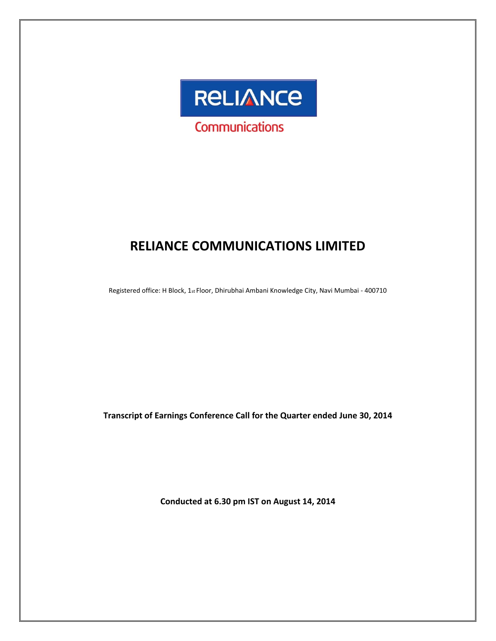

# **RELIANCE COMMUNICATIONS LIMITED**

Registered office: H Block, 1st Floor, Dhirubhai Ambani Knowledge City, Navi Mumbai - 400710

**Transcript of Earnings Conference Call for the Quarter ended June 30, 2014**

**Conducted at 6.30 pm IST on August 14, 2014**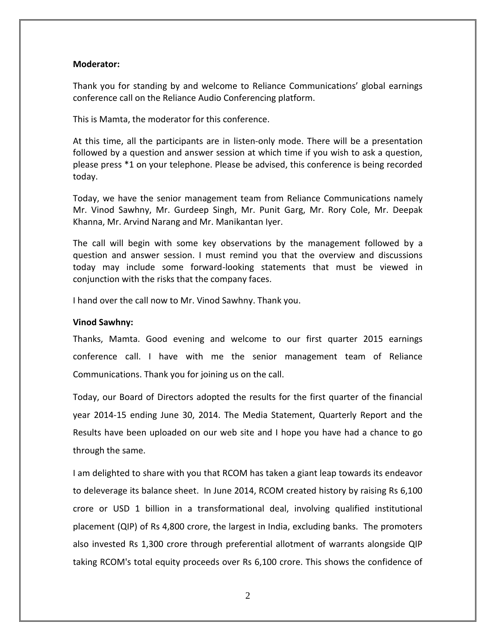# **Moderator:**

Thank you for standing by and welcome to Reliance Communications' global earnings conference call on the Reliance Audio Conferencing platform.

This is Mamta, the moderator for this conference.

At this time, all the participants are in listen-only mode. There will be a presentation followed by a question and answer session at which time if you wish to ask a question, please press \*1 on your telephone. Please be advised, this conference is being recorded today.

Today, we have the senior management team from Reliance Communications namely Mr. Vinod Sawhny, Mr. Gurdeep Singh, Mr. Punit Garg, Mr. Rory Cole, Mr. Deepak Khanna, Mr. Arvind Narang and Mr. Manikantan Iyer.

The call will begin with some key observations by the management followed by a question and answer session. I must remind you that the overview and discussions today may include some forward-looking statements that must be viewed in conjunction with the risks that the company faces.

I hand over the call now to Mr. Vinod Sawhny. Thank you.

# **Vinod Sawhny:**

Thanks, Mamta. Good evening and welcome to our first quarter 2015 earnings conference call. I have with me the senior management team of Reliance Communications. Thank you for joining us on the call.

Today, our Board of Directors adopted the results for the first quarter of the financial year 2014-15 ending June 30, 2014. The Media Statement, Quarterly Report and the Results have been uploaded on our web site and I hope you have had a chance to go through the same.

I am delighted to share with you that RCOM has taken a giant leap towards its endeavor to deleverage its balance sheet. In June 2014, RCOM created history by raising Rs 6,100 crore or USD 1 billion in a transformational deal, involving qualified institutional placement (QIP) of Rs 4,800 crore, the largest in India, excluding banks. The promoters also invested Rs 1,300 crore through preferential allotment of warrants alongside QIP taking RCOM's total equity proceeds over Rs 6,100 crore. This shows the confidence of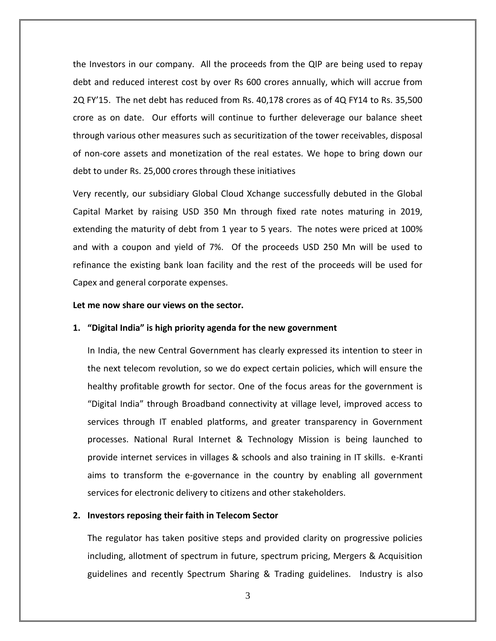the Investors in our company. All the proceeds from the QIP are being used to repay debt and reduced interest cost by over Rs 600 crores annually, which will accrue from 2Q FY'15. The net debt has reduced from Rs. 40,178 crores as of 4Q FY14 to Rs. 35,500 crore as on date. Our efforts will continue to further deleverage our balance sheet through various other measures such as securitization of the tower receivables, disposal of non-core assets and monetization of the real estates. We hope to bring down our debt to under Rs. 25,000 crores through these initiatives

Very recently, our subsidiary Global Cloud Xchange successfully debuted in the Global Capital Market by raising USD 350 Mn through fixed rate notes maturing in 2019, extending the maturity of debt from 1 year to 5 years. The notes were priced at 100% and with a coupon and yield of 7%. Of the proceeds USD 250 Mn will be used to refinance the existing bank loan facility and the rest of the proceeds will be used for Capex and general corporate expenses.

#### **Let me now share our views on the sector.**

#### **1. "Digital India" is high priority agenda for the new government**

In India, the new Central Government has clearly expressed its intention to steer in the next telecom revolution, so we do expect certain policies, which will ensure the healthy profitable growth for sector. One of the focus areas for the government is "Digital India" through Broadband connectivity at village level, improved access to services through IT enabled platforms, and greater transparency in Government processes. National Rural Internet & Technology Mission is being launched to provide internet services in villages & schools and also training in IT skills. e-Kranti aims to transform the e-governance in the country by enabling all government services for electronic delivery to citizens and other stakeholders.

# **2. Investors reposing their faith in Telecom Sector**

The regulator has taken positive steps and provided clarity on progressive policies including, allotment of spectrum in future, spectrum pricing, Mergers & Acquisition guidelines and recently Spectrum Sharing & Trading guidelines. Industry is also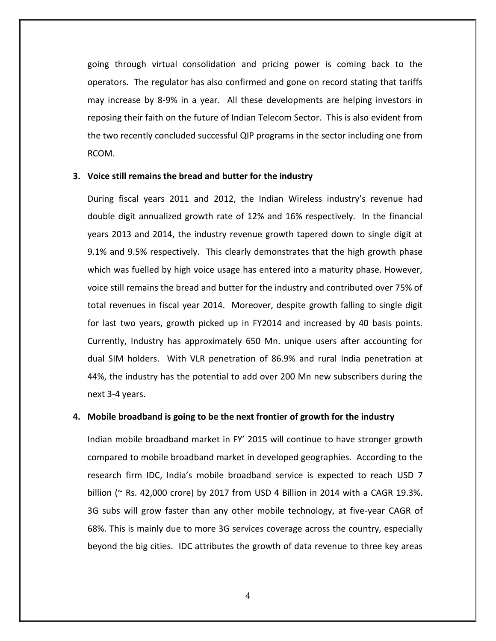going through virtual consolidation and pricing power is coming back to the operators. The regulator has also confirmed and gone on record stating that tariffs may increase by 8-9% in a year. All these developments are helping investors in reposing their faith on the future of Indian Telecom Sector. This is also evident from the two recently concluded successful QIP programs in the sector including one from RCOM.

## **3. Voice still remains the bread and butter for the industry**

During fiscal years 2011 and 2012, the Indian Wireless industry's revenue had double digit annualized growth rate of 12% and 16% respectively. In the financial years 2013 and 2014, the industry revenue growth tapered down to single digit at 9.1% and 9.5% respectively. This clearly demonstrates that the high growth phase which was fuelled by high voice usage has entered into a maturity phase. However, voice still remains the bread and butter for the industry and contributed over 75% of total revenues in fiscal year 2014. Moreover, despite growth falling to single digit for last two years, growth picked up in FY2014 and increased by 40 basis points. Currently, Industry has approximately 650 Mn. unique users after accounting for dual SIM holders. With VLR penetration of 86.9% and rural India penetration at 44%, the industry has the potential to add over 200 Mn new subscribers during the next 3-4 years.

## **4. Mobile broadband is going to be the next frontier of growth for the industry**

Indian mobile broadband market in FY' 2015 will continue to have stronger growth compared to mobile broadband market in developed geographies. According to the research firm IDC, India's mobile broadband service is expected to reach USD 7 billion ( $\sim$  Rs. 42,000 crore) by 2017 from USD 4 Billion in 2014 with a CAGR 19.3%. 3G subs will grow faster than any other mobile technology, at five-year CAGR of 68%. This is mainly due to more 3G services coverage across the country, especially beyond the big cities. IDC attributes the growth of data revenue to three key areas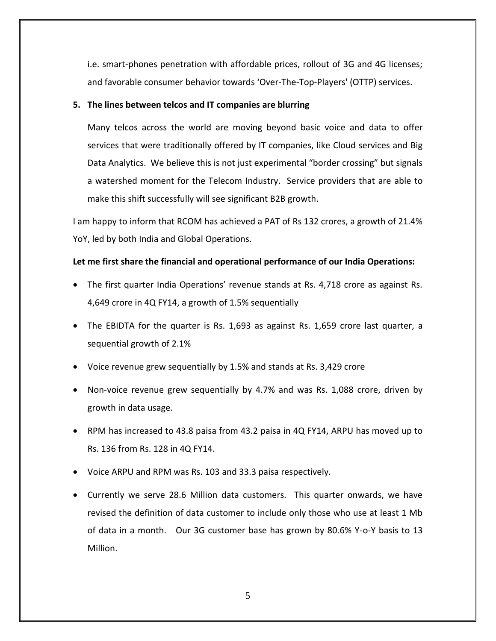i.e. smart-phones penetration with affordable prices, rollout of 3G and 4G licenses; and favorable consumer behavior towards 'Over-The-Top-Players' (OTTP) services.

# **5. The lines between telcos and IT companies are blurring**

Many telcos across the world are moving beyond basic voice and data to offer services that were traditionally offered by IT companies, like Cloud services and Big Data Analytics. We believe this is not just experimental "border crossing" but signals a watershed moment for the Telecom Industry. Service providers that are able to make this shift successfully will see significant B2B growth.

I am happy to inform that RCOM has achieved a PAT of Rs 132 crores, a growth of 21.4% YoY, led by both India and Global Operations.

# **Let me first share the financial and operational performance of our India Operations:**

- The first quarter India Operations' revenue stands at Rs. 4,718 crore as against Rs. 4,649 crore in 4Q FY14, a growth of 1.5% sequentially
- The EBIDTA for the quarter is Rs. 1,693 as against Rs. 1,659 crore last quarter, a sequential growth of 2.1%
- Voice revenue grew sequentially by 1.5% and stands at Rs. 3,429 crore
- Non-voice revenue grew sequentially by 4.7% and was Rs. 1,088 crore, driven by growth in data usage.
- RPM has increased to 43.8 paisa from 43.2 paisa in 4Q FY14, ARPU has moved up to Rs. 136 from Rs. 128 in 4Q FY14.
- Voice ARPU and RPM was Rs. 103 and 33.3 paisa respectively.
- Currently we serve 28.6 Million data customers. This quarter onwards, we have revised the definition of data customer to include only those who use at least 1 Mb of data in a month. Our 3G customer base has grown by 80.6% Y-o-Y basis to 13 Million.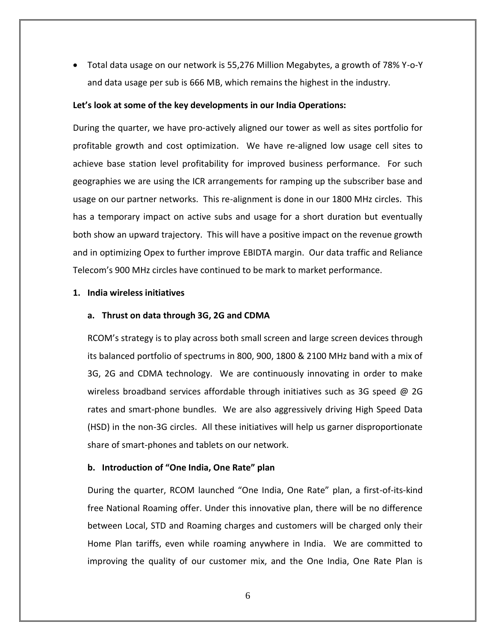Total data usage on our network is 55,276 Million Megabytes, a growth of 78% Y-o-Y and data usage per sub is 666 MB, which remains the highest in the industry.

# **Let's look at some of the key developments in our India Operations:**

During the quarter, we have pro-actively aligned our tower as well as sites portfolio for profitable growth and cost optimization. We have re-aligned low usage cell sites to achieve base station level profitability for improved business performance. For such geographies we are using the ICR arrangements for ramping up the subscriber base and usage on our partner networks. This re-alignment is done in our 1800 MHz circles. This has a temporary impact on active subs and usage for a short duration but eventually both show an upward trajectory. This will have a positive impact on the revenue growth and in optimizing Opex to further improve EBIDTA margin. Our data traffic and Reliance Telecom's 900 MHz circles have continued to be mark to market performance.

# **1. India wireless initiatives**

# **a. Thrust on data through 3G, 2G and CDMA**

RCOM's strategy is to play across both small screen and large screen devices through its balanced portfolio of spectrums in 800, 900, 1800 & 2100 MHz band with a mix of 3G, 2G and CDMA technology. We are continuously innovating in order to make wireless broadband services affordable through initiatives such as 3G speed @ 2G rates and smart-phone bundles. We are also aggressively driving High Speed Data (HSD) in the non-3G circles. All these initiatives will help us garner disproportionate share of smart-phones and tablets on our network.

# **b. Introduction of "One India, One Rate" plan**

During the quarter, RCOM launched "One India, One Rate" plan, a first-of-its-kind free National Roaming offer. Under this innovative plan, there will be no difference between Local, STD and Roaming charges and customers will be charged only their Home Plan tariffs, even while roaming anywhere in India. We are committed to improving the quality of our customer mix, and the One India, One Rate Plan is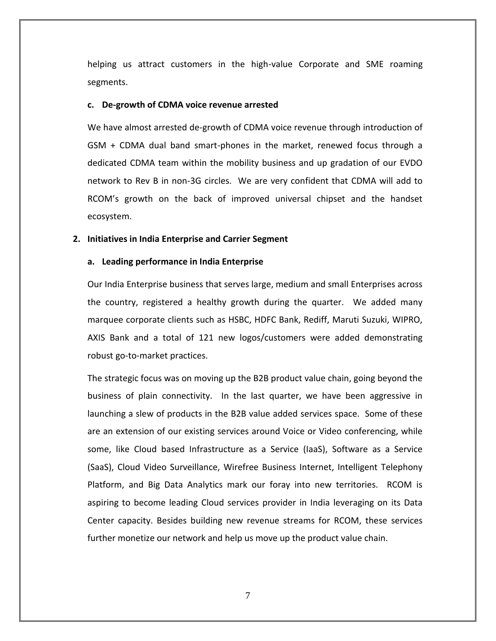helping us attract customers in the high-value Corporate and SME roaming segments.

#### **c. De-growth of CDMA voice revenue arrested**

We have almost arrested de-growth of CDMA voice revenue through introduction of GSM + CDMA dual band smart-phones in the market, renewed focus through a dedicated CDMA team within the mobility business and up gradation of our EVDO network to Rev B in non-3G circles. We are very confident that CDMA will add to RCOM's growth on the back of improved universal chipset and the handset ecosystem.

#### **2. Initiatives in India Enterprise and Carrier Segment**

#### **a. Leading performance in India Enterprise**

Our India Enterprise business that serves large, medium and small Enterprises across the country, registered a healthy growth during the quarter. We added many marquee corporate clients such as HSBC, HDFC Bank, Rediff, Maruti Suzuki, WIPRO, AXIS Bank and a total of 121 new logos/customers were added demonstrating robust go-to-market practices.

The strategic focus was on moving up the B2B product value chain, going beyond the business of plain connectivity. In the last quarter, we have been aggressive in launching a slew of products in the B2B value added services space. Some of these are an extension of our existing services around Voice or Video conferencing, while some, like Cloud based Infrastructure as a Service (IaaS), Software as a Service (SaaS), Cloud Video Surveillance, Wirefree Business Internet, Intelligent Telephony Platform, and Big Data Analytics mark our foray into new territories. RCOM is aspiring to become leading Cloud services provider in India leveraging on its Data Center capacity. Besides building new revenue streams for RCOM, these services further monetize our network and help us move up the product value chain.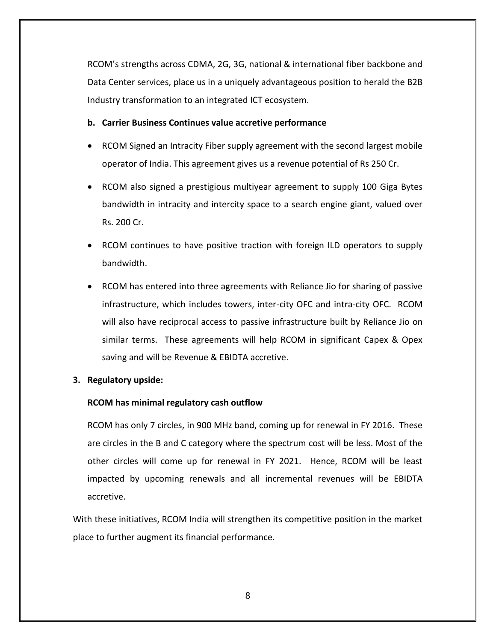RCOM's strengths across CDMA, 2G, 3G, national & international fiber backbone and Data Center services, place us in a uniquely advantageous position to herald the B2B Industry transformation to an integrated ICT ecosystem.

# **b. Carrier Business Continues value accretive performance**

- RCOM Signed an Intracity Fiber supply agreement with the second largest mobile operator of India. This agreement gives us a revenue potential of Rs 250 Cr.
- RCOM also signed a prestigious multiyear agreement to supply 100 Giga Bytes bandwidth in intracity and intercity space to a search engine giant, valued over Rs. 200 Cr.
- RCOM continues to have positive traction with foreign ILD operators to supply bandwidth.
- RCOM has entered into three agreements with Reliance Jio for sharing of passive infrastructure, which includes towers, inter-city OFC and intra-city OFC. RCOM will also have reciprocal access to passive infrastructure built by Reliance Jio on similar terms. These agreements will help RCOM in significant Capex & Opex saving and will be Revenue & EBIDTA accretive.

# **3. Regulatory upside:**

# **RCOM has minimal regulatory cash outflow**

RCOM has only 7 circles, in 900 MHz band, coming up for renewal in FY 2016. These are circles in the B and C category where the spectrum cost will be less. Most of the other circles will come up for renewal in FY 2021. Hence, RCOM will be least impacted by upcoming renewals and all incremental revenues will be EBIDTA accretive.

With these initiatives, RCOM India will strengthen its competitive position in the market place to further augment its financial performance.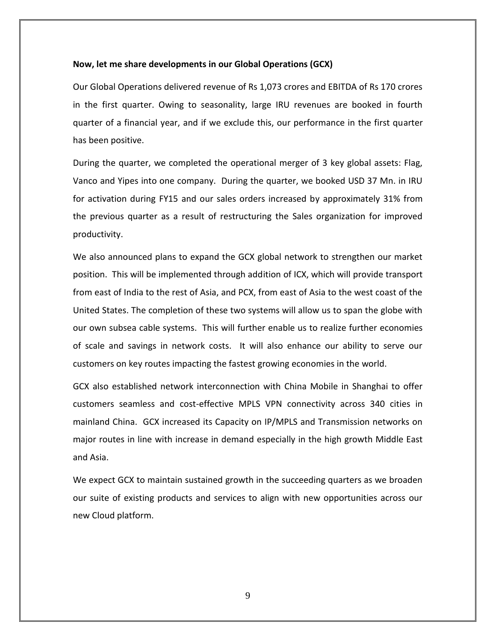## **Now, let me share developments in our Global Operations (GCX)**

Our Global Operations delivered revenue of Rs 1,073 crores and EBITDA of Rs 170 crores in the first quarter. Owing to seasonality, large IRU revenues are booked in fourth quarter of a financial year, and if we exclude this, our performance in the first quarter has been positive.

During the quarter, we completed the operational merger of 3 key global assets: Flag, Vanco and Yipes into one company. During the quarter, we booked USD 37 Mn. in IRU for activation during FY15 and our sales orders increased by approximately 31% from the previous quarter as a result of restructuring the Sales organization for improved productivity.

We also announced plans to expand the GCX global network to strengthen our market position. This will be implemented through addition of ICX, which will provide transport from east of India to the rest of Asia, and PCX, from east of Asia to the west coast of the United States. The completion of these two systems will allow us to span the globe with our own subsea cable systems. This will further enable us to realize further economies of scale and savings in network costs. It will also enhance our ability to serve our customers on key routes impacting the fastest growing economies in the world.

GCX also established network interconnection with China Mobile in Shanghai to offer customers seamless and cost-effective MPLS VPN connectivity across 340 cities in mainland China. GCX increased its Capacity on IP/MPLS and Transmission networks on major routes in line with increase in demand especially in the high growth Middle East and Asia.

We expect GCX to maintain sustained growth in the succeeding quarters as we broaden our suite of existing products and services to align with new opportunities across our new Cloud platform.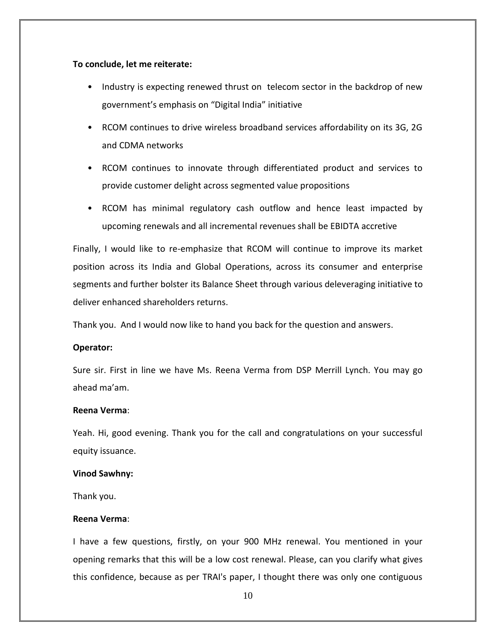## **To conclude, let me reiterate:**

- Industry is expecting renewed thrust on telecom sector in the backdrop of new government's emphasis on "Digital India" initiative
- RCOM continues to drive wireless broadband services affordability on its 3G, 2G and CDMA networks
- RCOM continues to innovate through differentiated product and services to provide customer delight across segmented value propositions
- RCOM has minimal regulatory cash outflow and hence least impacted by upcoming renewals and all incremental revenues shall be EBIDTA accretive

Finally, I would like to re-emphasize that RCOM will continue to improve its market position across its India and Global Operations, across its consumer and enterprise segments and further bolster its Balance Sheet through various deleveraging initiative to deliver enhanced shareholders returns.

Thank you. And I would now like to hand you back for the question and answers.

# **Operator:**

Sure sir. First in line we have Ms. Reena Verma from DSP Merrill Lynch. You may go ahead ma'am.

# **Reena Verma**:

Yeah. Hi, good evening. Thank you for the call and congratulations on your successful equity issuance.

#### **Vinod Sawhny:**

Thank you.

# **Reena Verma**:

I have a few questions, firstly, on your 900 MHz renewal. You mentioned in your opening remarks that this will be a low cost renewal. Please, can you clarify what gives this confidence, because as per TRAI's paper, I thought there was only one contiguous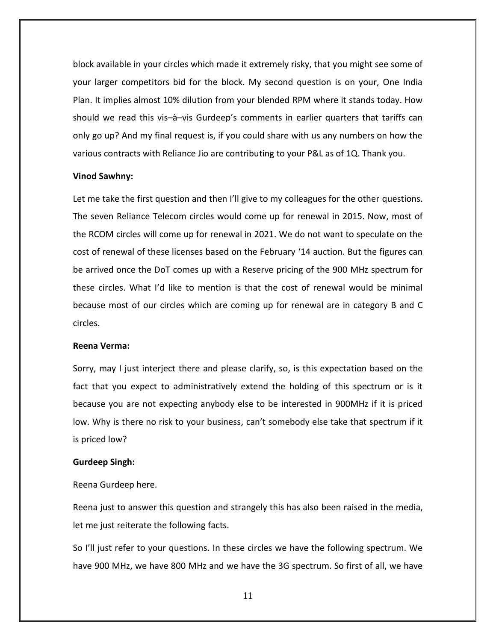block available in your circles which made it extremely risky, that you might see some of your larger competitors bid for the block. My second question is on your, One India Plan. It implies almost 10% dilution from your blended RPM where it stands today. How should we read this vis–à–vis Gurdeep's comments in earlier quarters that tariffs can only go up? And my final request is, if you could share with us any numbers on how the various contracts with Reliance Jio are contributing to your P&L as of 1Q. Thank you.

#### **Vinod Sawhny:**

Let me take the first question and then I'll give to my colleagues for the other questions. The seven Reliance Telecom circles would come up for renewal in 2015. Now, most of the RCOM circles will come up for renewal in 2021. We do not want to speculate on the cost of renewal of these licenses based on the February '14 auction. But the figures can be arrived once the DoT comes up with a Reserve pricing of the 900 MHz spectrum for these circles. What I'd like to mention is that the cost of renewal would be minimal because most of our circles which are coming up for renewal are in category B and C circles.

#### **Reena Verma:**

Sorry, may I just interject there and please clarify, so, is this expectation based on the fact that you expect to administratively extend the holding of this spectrum or is it because you are not expecting anybody else to be interested in 900MHz if it is priced low. Why is there no risk to your business, can't somebody else take that spectrum if it is priced low?

# **Gurdeep Singh:**

Reena Gurdeep here.

Reena just to answer this question and strangely this has also been raised in the media, let me just reiterate the following facts.

So I'll just refer to your questions. In these circles we have the following spectrum. We have 900 MHz, we have 800 MHz and we have the 3G spectrum. So first of all, we have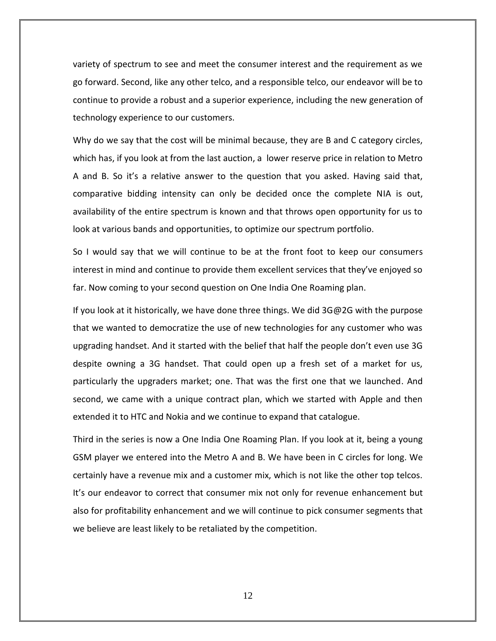variety of spectrum to see and meet the consumer interest and the requirement as we go forward. Second, like any other telco, and a responsible telco, our endeavor will be to continue to provide a robust and a superior experience, including the new generation of technology experience to our customers.

Why do we say that the cost will be minimal because, they are B and C category circles, which has, if you look at from the last auction, a lower reserve price in relation to Metro A and B. So it's a relative answer to the question that you asked. Having said that, comparative bidding intensity can only be decided once the complete NIA is out, availability of the entire spectrum is known and that throws open opportunity for us to look at various bands and opportunities, to optimize our spectrum portfolio.

So I would say that we will continue to be at the front foot to keep our consumers interest in mind and continue to provide them excellent services that they've enjoyed so far. Now coming to your second question on One India One Roaming plan.

If you look at it historically, we have done three things. We did  $3G@2G$  with the purpose that we wanted to democratize the use of new technologies for any customer who was upgrading handset. And it started with the belief that half the people don't even use 3G despite owning a 3G handset. That could open up a fresh set of a market for us, particularly the upgraders market; one. That was the first one that we launched. And second, we came with a unique contract plan, which we started with Apple and then extended it to HTC and Nokia and we continue to expand that catalogue.

Third in the series is now a One India One Roaming Plan. If you look at it, being a young GSM player we entered into the Metro A and B. We have been in C circles for long. We certainly have a revenue mix and a customer mix, which is not like the other top telcos. It's our endeavor to correct that consumer mix not only for revenue enhancement but also for profitability enhancement and we will continue to pick consumer segments that we believe are least likely to be retaliated by the competition.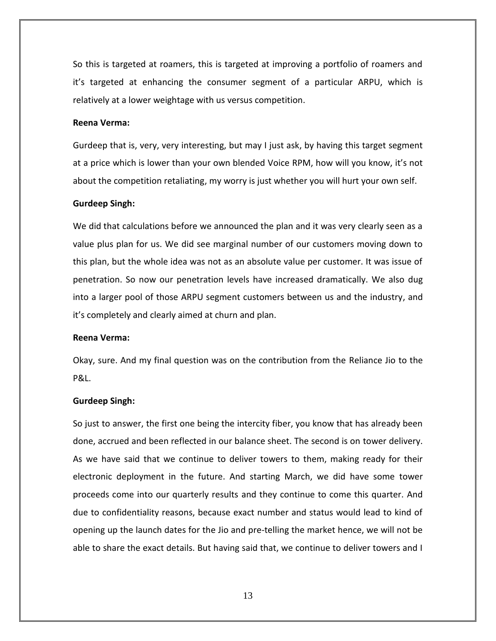So this is targeted at roamers, this is targeted at improving a portfolio of roamers and it's targeted at enhancing the consumer segment of a particular ARPU, which is relatively at a lower weightage with us versus competition.

#### **Reena Verma:**

Gurdeep that is, very, very interesting, but may I just ask, by having this target segment at a price which is lower than your own blended Voice RPM, how will you know, it's not about the competition retaliating, my worry is just whether you will hurt your own self.

#### **Gurdeep Singh:**

We did that calculations before we announced the plan and it was very clearly seen as a value plus plan for us. We did see marginal number of our customers moving down to this plan, but the whole idea was not as an absolute value per customer. It was issue of penetration. So now our penetration levels have increased dramatically. We also dug into a larger pool of those ARPU segment customers between us and the industry, and it's completely and clearly aimed at churn and plan.

#### **Reena Verma:**

Okay, sure. And my final question was on the contribution from the Reliance Jio to the P&L.

#### **Gurdeep Singh:**

So just to answer, the first one being the intercity fiber, you know that has already been done, accrued and been reflected in our balance sheet. The second is on tower delivery. As we have said that we continue to deliver towers to them, making ready for their electronic deployment in the future. And starting March, we did have some tower proceeds come into our quarterly results and they continue to come this quarter. And due to confidentiality reasons, because exact number and status would lead to kind of opening up the launch dates for the Jio and pre-telling the market hence, we will not be able to share the exact details. But having said that, we continue to deliver towers and I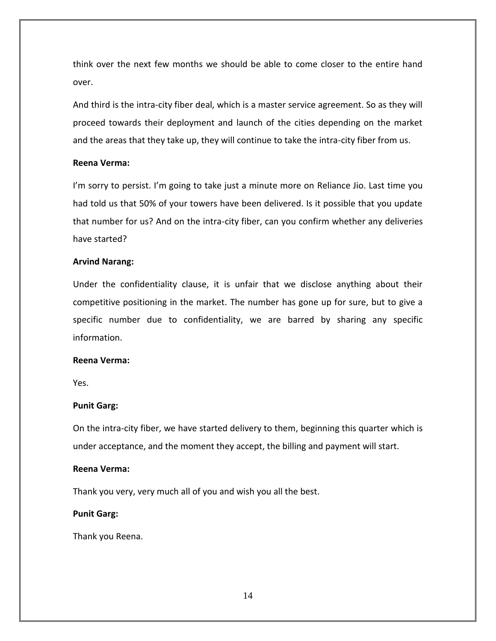think over the next few months we should be able to come closer to the entire hand over.

And third is the intra-city fiber deal, which is a master service agreement. So as they will proceed towards their deployment and launch of the cities depending on the market and the areas that they take up, they will continue to take the intra-city fiber from us.

# **Reena Verma:**

I'm sorry to persist. I'm going to take just a minute more on Reliance Jio. Last time you had told us that 50% of your towers have been delivered. Is it possible that you update that number for us? And on the intra-city fiber, can you confirm whether any deliveries have started?

## **Arvind Narang:**

Under the confidentiality clause, it is unfair that we disclose anything about their competitive positioning in the market. The number has gone up for sure, but to give a specific number due to confidentiality, we are barred by sharing any specific information.

# **Reena Verma:**

Yes.

# **Punit Garg:**

On the intra-city fiber, we have started delivery to them, beginning this quarter which is under acceptance, and the moment they accept, the billing and payment will start.

# **Reena Verma:**

Thank you very, very much all of you and wish you all the best.

#### **Punit Garg:**

Thank you Reena.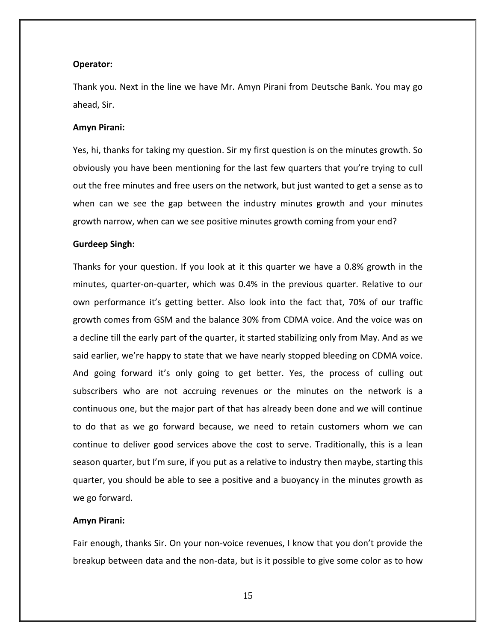#### **Operator:**

Thank you. Next in the line we have Mr. Amyn Pirani from Deutsche Bank. You may go ahead, Sir.

#### **Amyn Pirani:**

Yes, hi, thanks for taking my question. Sir my first question is on the minutes growth. So obviously you have been mentioning for the last few quarters that you're trying to cull out the free minutes and free users on the network, but just wanted to get a sense as to when can we see the gap between the industry minutes growth and your minutes growth narrow, when can we see positive minutes growth coming from your end?

#### **Gurdeep Singh:**

Thanks for your question. If you look at it this quarter we have a 0.8% growth in the minutes, quarter-on-quarter, which was 0.4% in the previous quarter. Relative to our own performance it's getting better. Also look into the fact that, 70% of our traffic growth comes from GSM and the balance 30% from CDMA voice. And the voice was on a decline till the early part of the quarter, it started stabilizing only from May. And as we said earlier, we're happy to state that we have nearly stopped bleeding on CDMA voice. And going forward it's only going to get better. Yes, the process of culling out subscribers who are not accruing revenues or the minutes on the network is a continuous one, but the major part of that has already been done and we will continue to do that as we go forward because, we need to retain customers whom we can continue to deliver good services above the cost to serve. Traditionally, this is a lean season quarter, but I'm sure, if you put as a relative to industry then maybe, starting this quarter, you should be able to see a positive and a buoyancy in the minutes growth as we go forward.

#### **Amyn Pirani:**

Fair enough, thanks Sir. On your non-voice revenues, I know that you don't provide the breakup between data and the non-data, but is it possible to give some color as to how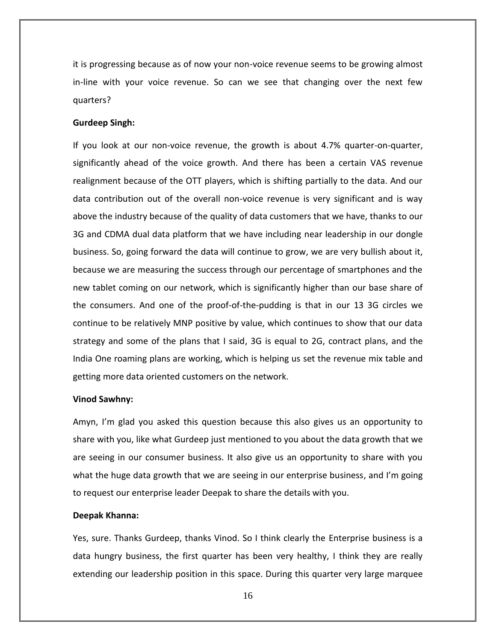it is progressing because as of now your non-voice revenue seems to be growing almost in-line with your voice revenue. So can we see that changing over the next few quarters?

## **Gurdeep Singh:**

If you look at our non-voice revenue, the growth is about 4.7% quarter-on-quarter, significantly ahead of the voice growth. And there has been a certain VAS revenue realignment because of the OTT players, which is shifting partially to the data. And our data contribution out of the overall non-voice revenue is very significant and is way above the industry because of the quality of data customers that we have, thanks to our 3G and CDMA dual data platform that we have including near leadership in our dongle business. So, going forward the data will continue to grow, we are very bullish about it, because we are measuring the success through our percentage of smartphones and the new tablet coming on our network, which is significantly higher than our base share of the consumers. And one of the proof-of-the-pudding is that in our 13 3G circles we continue to be relatively MNP positive by value, which continues to show that our data strategy and some of the plans that I said, 3G is equal to 2G, contract plans, and the India One roaming plans are working, which is helping us set the revenue mix table and getting more data oriented customers on the network.

#### **Vinod Sawhny:**

Amyn, I'm glad you asked this question because this also gives us an opportunity to share with you, like what Gurdeep just mentioned to you about the data growth that we are seeing in our consumer business. It also give us an opportunity to share with you what the huge data growth that we are seeing in our enterprise business, and I'm going to request our enterprise leader Deepak to share the details with you.

## **Deepak Khanna:**

Yes, sure. Thanks Gurdeep, thanks Vinod. So I think clearly the Enterprise business is a data hungry business, the first quarter has been very healthy, I think they are really extending our leadership position in this space. During this quarter very large marquee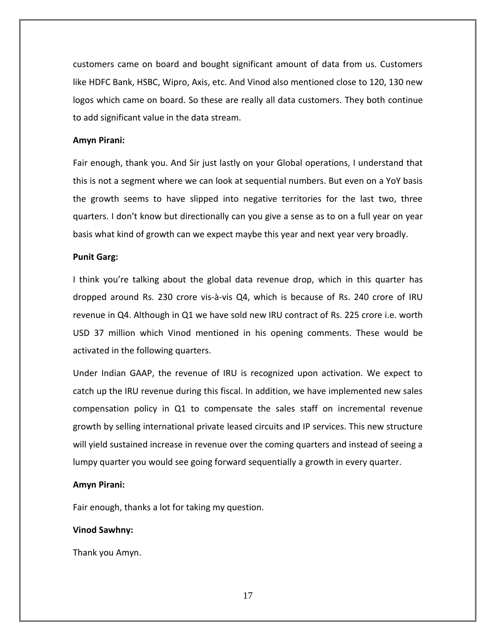customers came on board and bought significant amount of data from us. Customers like HDFC Bank, HSBC, Wipro, Axis, etc. And Vinod also mentioned close to 120, 130 new logos which came on board. So these are really all data customers. They both continue to add significant value in the data stream.

#### **Amyn Pirani:**

Fair enough, thank you. And Sir just lastly on your Global operations, I understand that this is not a segment where we can look at sequential numbers. But even on a YoY basis the growth seems to have slipped into negative territories for the last two, three quarters. I don't know but directionally can you give a sense as to on a full year on year basis what kind of growth can we expect maybe this year and next year very broadly.

#### **Punit Garg:**

I think you're talking about the global data revenue drop, which in this quarter has dropped around Rs. 230 crore vis-à-vis Q4, which is because of Rs. 240 crore of IRU revenue in Q4. Although in Q1 we have sold new IRU contract of Rs. 225 crore i.e. worth USD 37 million which Vinod mentioned in his opening comments. These would be activated in the following quarters.

Under Indian GAAP, the revenue of IRU is recognized upon activation. We expect to catch up the IRU revenue during this fiscal. In addition, we have implemented new sales compensation policy in Q1 to compensate the sales staff on incremental revenue growth by selling international private leased circuits and IP services. This new structure will yield sustained increase in revenue over the coming quarters and instead of seeing a lumpy quarter you would see going forward sequentially a growth in every quarter.

# **Amyn Pirani:**

Fair enough, thanks a lot for taking my question.

# **Vinod Sawhny:**

Thank you Amyn.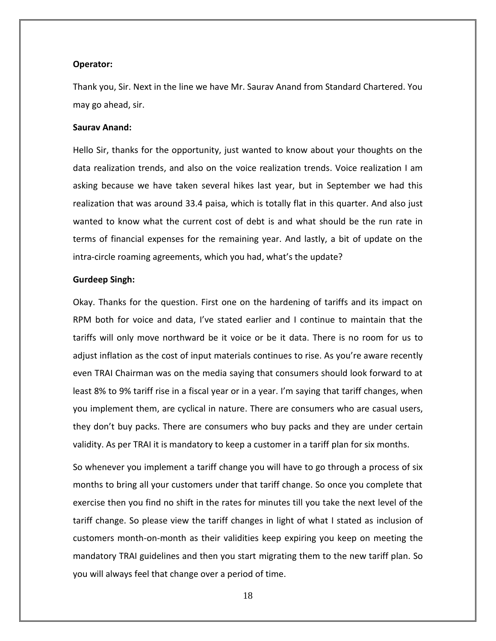#### **Operator:**

Thank you, Sir. Next in the line we have Mr. Saurav Anand from Standard Chartered. You may go ahead, sir.

#### **Saurav Anand:**

Hello Sir, thanks for the opportunity, just wanted to know about your thoughts on the data realization trends, and also on the voice realization trends. Voice realization I am asking because we have taken several hikes last year, but in September we had this realization that was around 33.4 paisa, which is totally flat in this quarter. And also just wanted to know what the current cost of debt is and what should be the run rate in terms of financial expenses for the remaining year. And lastly, a bit of update on the intra-circle roaming agreements, which you had, what's the update?

#### **Gurdeep Singh:**

Okay. Thanks for the question. First one on the hardening of tariffs and its impact on RPM both for voice and data, I've stated earlier and I continue to maintain that the tariffs will only move northward be it voice or be it data. There is no room for us to adjust inflation as the cost of input materials continues to rise. As you're aware recently even TRAI Chairman was on the media saying that consumers should look forward to at least 8% to 9% tariff rise in a fiscal year or in a year. I'm saying that tariff changes, when you implement them, are cyclical in nature. There are consumers who are casual users, they don't buy packs. There are consumers who buy packs and they are under certain validity. As per TRAI it is mandatory to keep a customer in a tariff plan for six months.

So whenever you implement a tariff change you will have to go through a process of six months to bring all your customers under that tariff change. So once you complete that exercise then you find no shift in the rates for minutes till you take the next level of the tariff change. So please view the tariff changes in light of what I stated as inclusion of customers month-on-month as their validities keep expiring you keep on meeting the mandatory TRAI guidelines and then you start migrating them to the new tariff plan. So you will always feel that change over a period of time.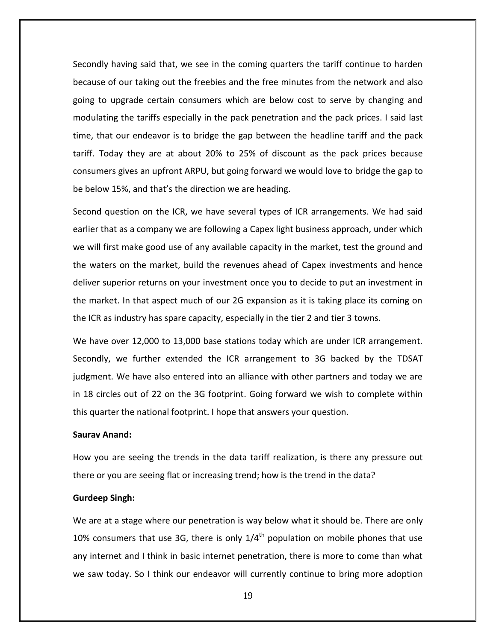Secondly having said that, we see in the coming quarters the tariff continue to harden because of our taking out the freebies and the free minutes from the network and also going to upgrade certain consumers which are below cost to serve by changing and modulating the tariffs especially in the pack penetration and the pack prices. I said last time, that our endeavor is to bridge the gap between the headline tariff and the pack tariff. Today they are at about 20% to 25% of discount as the pack prices because consumers gives an upfront ARPU, but going forward we would love to bridge the gap to be below 15%, and that's the direction we are heading.

Second question on the ICR, we have several types of ICR arrangements. We had said earlier that as a company we are following a Capex light business approach, under which we will first make good use of any available capacity in the market, test the ground and the waters on the market, build the revenues ahead of Capex investments and hence deliver superior returns on your investment once you to decide to put an investment in the market. In that aspect much of our 2G expansion as it is taking place its coming on the ICR as industry has spare capacity, especially in the tier 2 and tier 3 towns.

We have over 12,000 to 13,000 base stations today which are under ICR arrangement. Secondly, we further extended the ICR arrangement to 3G backed by the TDSAT judgment. We have also entered into an alliance with other partners and today we are in 18 circles out of 22 on the 3G footprint. Going forward we wish to complete within this quarter the national footprint. I hope that answers your question.

#### **Saurav Anand:**

How you are seeing the trends in the data tariff realization, is there any pressure out there or you are seeing flat or increasing trend; how is the trend in the data?

#### **Gurdeep Singh:**

We are at a stage where our penetration is way below what it should be. There are only 10% consumers that use 3G, there is only  $1/4^{\text{th}}$  population on mobile phones that use any internet and I think in basic internet penetration, there is more to come than what we saw today. So I think our endeavor will currently continue to bring more adoption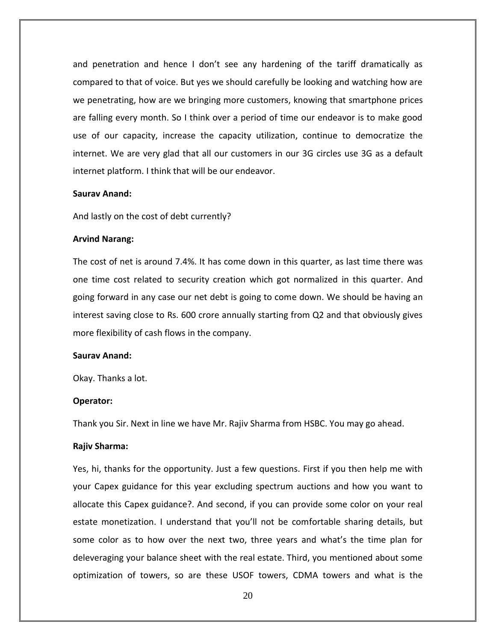and penetration and hence I don't see any hardening of the tariff dramatically as compared to that of voice. But yes we should carefully be looking and watching how are we penetrating, how are we bringing more customers, knowing that smartphone prices are falling every month. So I think over a period of time our endeavor is to make good use of our capacity, increase the capacity utilization, continue to democratize the internet. We are very glad that all our customers in our 3G circles use 3G as a default internet platform. I think that will be our endeavor.

## **Saurav Anand:**

And lastly on the cost of debt currently?

#### **Arvind Narang:**

The cost of net is around 7.4%. It has come down in this quarter, as last time there was one time cost related to security creation which got normalized in this quarter. And going forward in any case our net debt is going to come down. We should be having an interest saving close to Rs. 600 crore annually starting from Q2 and that obviously gives more flexibility of cash flows in the company.

## **Saurav Anand:**

Okay. Thanks a lot.

#### **Operator:**

Thank you Sir. Next in line we have Mr. Rajiv Sharma from HSBC. You may go ahead.

#### **Rajiv Sharma:**

Yes, hi, thanks for the opportunity. Just a few questions. First if you then help me with your Capex guidance for this year excluding spectrum auctions and how you want to allocate this Capex guidance?. And second, if you can provide some color on your real estate monetization. I understand that you'll not be comfortable sharing details, but some color as to how over the next two, three years and what's the time plan for deleveraging your balance sheet with the real estate. Third, you mentioned about some optimization of towers, so are these USOF towers, CDMA towers and what is the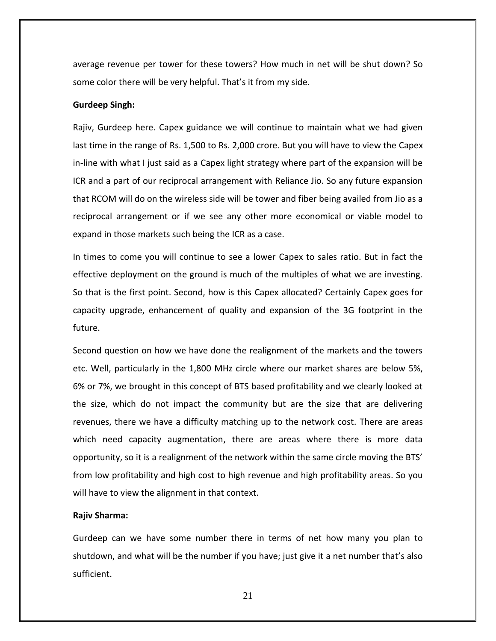average revenue per tower for these towers? How much in net will be shut down? So some color there will be very helpful. That's it from my side.

#### **Gurdeep Singh:**

Rajiv, Gurdeep here. Capex guidance we will continue to maintain what we had given last time in the range of Rs. 1,500 to Rs. 2,000 crore. But you will have to view the Capex in-line with what I just said as a Capex light strategy where part of the expansion will be ICR and a part of our reciprocal arrangement with Reliance Jio. So any future expansion that RCOM will do on the wireless side will be tower and fiber being availed from Jio as a reciprocal arrangement or if we see any other more economical or viable model to expand in those markets such being the ICR as a case.

In times to come you will continue to see a lower Capex to sales ratio. But in fact the effective deployment on the ground is much of the multiples of what we are investing. So that is the first point. Second, how is this Capex allocated? Certainly Capex goes for capacity upgrade, enhancement of quality and expansion of the 3G footprint in the future.

Second question on how we have done the realignment of the markets and the towers etc. Well, particularly in the 1,800 MHz circle where our market shares are below 5%, 6% or 7%, we brought in this concept of BTS based profitability and we clearly looked at the size, which do not impact the community but are the size that are delivering revenues, there we have a difficulty matching up to the network cost. There are areas which need capacity augmentation, there are areas where there is more data opportunity, so it is a realignment of the network within the same circle moving the BTS' from low profitability and high cost to high revenue and high profitability areas. So you will have to view the alignment in that context.

## **Rajiv Sharma:**

Gurdeep can we have some number there in terms of net how many you plan to shutdown, and what will be the number if you have; just give it a net number that's also sufficient.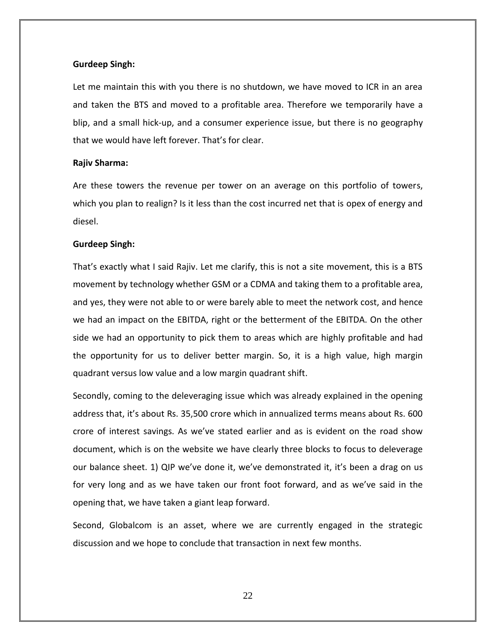## **Gurdeep Singh:**

Let me maintain this with you there is no shutdown, we have moved to ICR in an area and taken the BTS and moved to a profitable area. Therefore we temporarily have a blip, and a small hick-up, and a consumer experience issue, but there is no geography that we would have left forever. That's for clear.

#### **Rajiv Sharma:**

Are these towers the revenue per tower on an average on this portfolio of towers, which you plan to realign? Is it less than the cost incurred net that is opex of energy and diesel.

#### **Gurdeep Singh:**

That's exactly what I said Rajiv. Let me clarify, this is not a site movement, this is a BTS movement by technology whether GSM or a CDMA and taking them to a profitable area, and yes, they were not able to or were barely able to meet the network cost, and hence we had an impact on the EBITDA, right or the betterment of the EBITDA. On the other side we had an opportunity to pick them to areas which are highly profitable and had the opportunity for us to deliver better margin. So, it is a high value, high margin quadrant versus low value and a low margin quadrant shift.

Secondly, coming to the deleveraging issue which was already explained in the opening address that, it's about Rs. 35,500 crore which in annualized terms means about Rs. 600 crore of interest savings. As we've stated earlier and as is evident on the road show document, which is on the website we have clearly three blocks to focus to deleverage our balance sheet. 1) QIP we've done it, we've demonstrated it, it's been a drag on us for very long and as we have taken our front foot forward, and as we've said in the opening that, we have taken a giant leap forward.

Second, Globalcom is an asset, where we are currently engaged in the strategic discussion and we hope to conclude that transaction in next few months.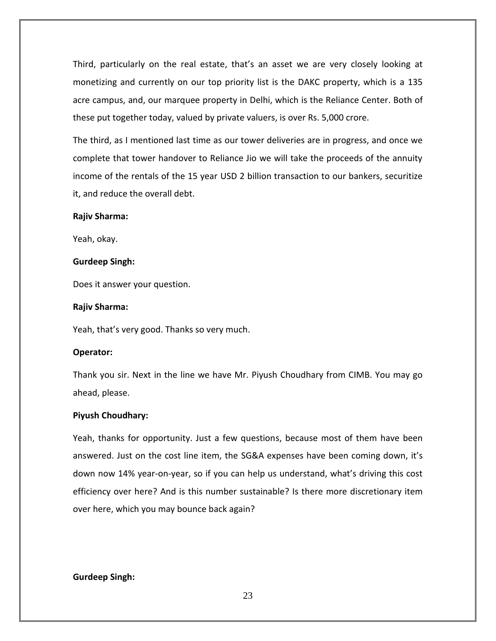Third, particularly on the real estate, that's an asset we are very closely looking at monetizing and currently on our top priority list is the DAKC property, which is a 135 acre campus, and, our marquee property in Delhi, which is the Reliance Center. Both of these put together today, valued by private valuers, is over Rs. 5,000 crore.

The third, as I mentioned last time as our tower deliveries are in progress, and once we complete that tower handover to Reliance Jio we will take the proceeds of the annuity income of the rentals of the 15 year USD 2 billion transaction to our bankers, securitize it, and reduce the overall debt.

#### **Rajiv Sharma:**

Yeah, okay.

#### **Gurdeep Singh:**

Does it answer your question.

#### **Rajiv Sharma:**

Yeah, that's very good. Thanks so very much.

#### **Operator:**

Thank you sir. Next in the line we have Mr. Piyush Choudhary from CIMB. You may go ahead, please.

#### **Piyush Choudhary:**

Yeah, thanks for opportunity. Just a few questions, because most of them have been answered. Just on the cost line item, the SG&A expenses have been coming down, it's down now 14% year-on-year, so if you can help us understand, what's driving this cost efficiency over here? And is this number sustainable? Is there more discretionary item over here, which you may bounce back again?

#### **Gurdeep Singh:**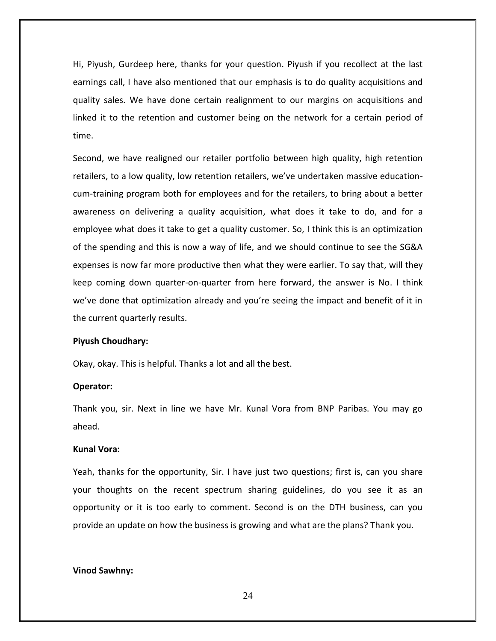Hi, Piyush, Gurdeep here, thanks for your question. Piyush if you recollect at the last earnings call, I have also mentioned that our emphasis is to do quality acquisitions and quality sales. We have done certain realignment to our margins on acquisitions and linked it to the retention and customer being on the network for a certain period of time.

Second, we have realigned our retailer portfolio between high quality, high retention retailers, to a low quality, low retention retailers, we've undertaken massive educationcum-training program both for employees and for the retailers, to bring about a better awareness on delivering a quality acquisition, what does it take to do, and for a employee what does it take to get a quality customer. So, I think this is an optimization of the spending and this is now a way of life, and we should continue to see the SG&A expenses is now far more productive then what they were earlier. To say that, will they keep coming down quarter-on-quarter from here forward, the answer is No. I think we've done that optimization already and you're seeing the impact and benefit of it in the current quarterly results.

#### **Piyush Choudhary:**

Okay, okay. This is helpful. Thanks a lot and all the best.

#### **Operator:**

Thank you, sir. Next in line we have Mr. Kunal Vora from BNP Paribas. You may go ahead.

# **Kunal Vora:**

Yeah, thanks for the opportunity, Sir. I have just two questions; first is, can you share your thoughts on the recent spectrum sharing guidelines, do you see it as an opportunity or it is too early to comment. Second is on the DTH business, can you provide an update on how the business is growing and what are the plans? Thank you.

#### **Vinod Sawhny:**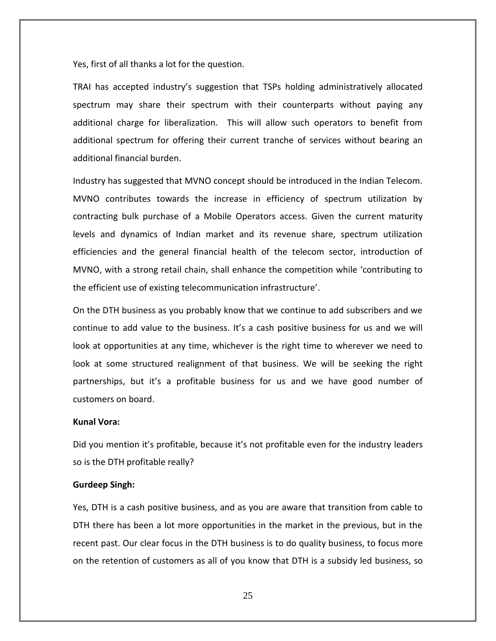Yes, first of all thanks a lot for the question.

TRAI has accepted industry's suggestion that TSPs holding administratively allocated spectrum may share their spectrum with their counterparts without paying any additional charge for liberalization. This will allow such operators to benefit from additional spectrum for offering their current tranche of services without bearing an additional financial burden.

Industry has suggested that MVNO concept should be introduced in the Indian Telecom. MVNO contributes towards the increase in efficiency of spectrum utilization by contracting bulk purchase of a Mobile Operators access. Given the current maturity levels and dynamics of Indian market and its revenue share, spectrum utilization efficiencies and the general financial health of the telecom sector, introduction of MVNO, with a strong retail chain, shall enhance the competition while 'contributing to the efficient use of existing telecommunication infrastructure'.

On the DTH business as you probably know that we continue to add subscribers and we continue to add value to the business. It's a cash positive business for us and we will look at opportunities at any time, whichever is the right time to wherever we need to look at some structured realignment of that business. We will be seeking the right partnerships, but it's a profitable business for us and we have good number of customers on board.

# **Kunal Vora:**

Did you mention it's profitable, because it's not profitable even for the industry leaders so is the DTH profitable really?

#### **Gurdeep Singh:**

Yes, DTH is a cash positive business, and as you are aware that transition from cable to DTH there has been a lot more opportunities in the market in the previous, but in the recent past. Our clear focus in the DTH business is to do quality business, to focus more on the retention of customers as all of you know that DTH is a subsidy led business, so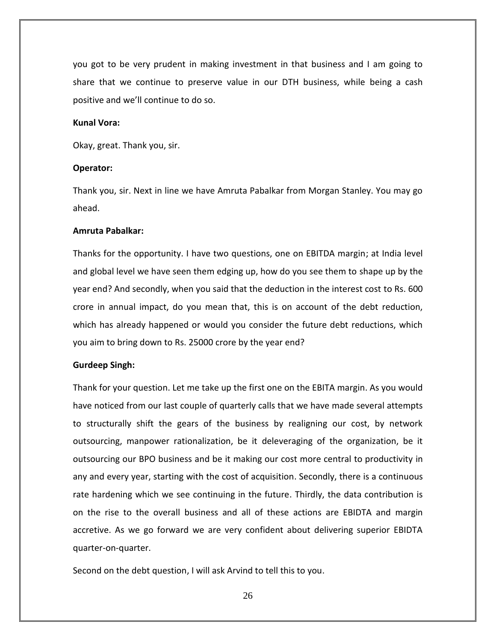you got to be very prudent in making investment in that business and I am going to share that we continue to preserve value in our DTH business, while being a cash positive and we'll continue to do so.

# **Kunal Vora:**

Okay, great. Thank you, sir.

#### **Operator:**

Thank you, sir. Next in line we have Amruta Pabalkar from Morgan Stanley. You may go ahead.

## **Amruta Pabalkar:**

Thanks for the opportunity. I have two questions, one on EBITDA margin; at India level and global level we have seen them edging up, how do you see them to shape up by the year end? And secondly, when you said that the deduction in the interest cost to Rs. 600 crore in annual impact, do you mean that, this is on account of the debt reduction, which has already happened or would you consider the future debt reductions, which you aim to bring down to Rs. 25000 crore by the year end?

#### **Gurdeep Singh:**

Thank for your question. Let me take up the first one on the EBITA margin. As you would have noticed from our last couple of quarterly calls that we have made several attempts to structurally shift the gears of the business by realigning our cost, by network outsourcing, manpower rationalization, be it deleveraging of the organization, be it outsourcing our BPO business and be it making our cost more central to productivity in any and every year, starting with the cost of acquisition. Secondly, there is a continuous rate hardening which we see continuing in the future. Thirdly, the data contribution is on the rise to the overall business and all of these actions are EBIDTA and margin accretive. As we go forward we are very confident about delivering superior EBIDTA quarter-on-quarter.

Second on the debt question, I will ask Arvind to tell this to you.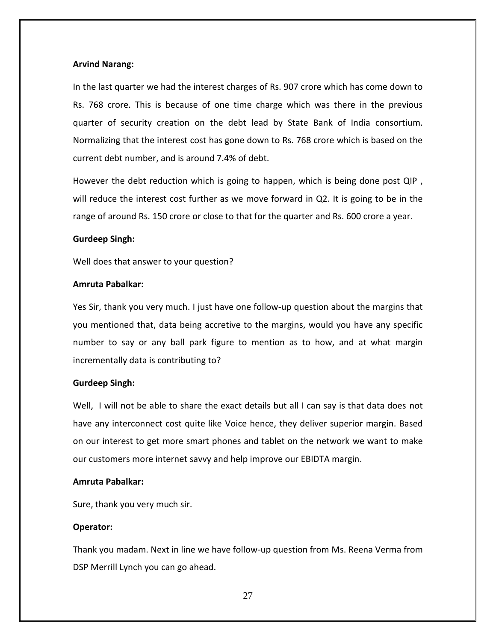# **Arvind Narang:**

In the last quarter we had the interest charges of Rs. 907 crore which has come down to Rs. 768 crore. This is because of one time charge which was there in the previous quarter of security creation on the debt lead by State Bank of India consortium. Normalizing that the interest cost has gone down to Rs. 768 crore which is based on the current debt number, and is around 7.4% of debt.

However the debt reduction which is going to happen, which is being done post QIP , will reduce the interest cost further as we move forward in Q2. It is going to be in the range of around Rs. 150 crore or close to that for the quarter and Rs. 600 crore a year.

# **Gurdeep Singh:**

Well does that answer to your question?

# **Amruta Pabalkar:**

Yes Sir, thank you very much. I just have one follow-up question about the margins that you mentioned that, data being accretive to the margins, would you have any specific number to say or any ball park figure to mention as to how, and at what margin incrementally data is contributing to?

# **Gurdeep Singh:**

Well, I will not be able to share the exact details but all I can say is that data does not have any interconnect cost quite like Voice hence, they deliver superior margin. Based on our interest to get more smart phones and tablet on the network we want to make our customers more internet savvy and help improve our EBIDTA margin.

# **Amruta Pabalkar:**

Sure, thank you very much sir.

# **Operator:**

Thank you madam. Next in line we have follow-up question from Ms. Reena Verma from DSP Merrill Lynch you can go ahead.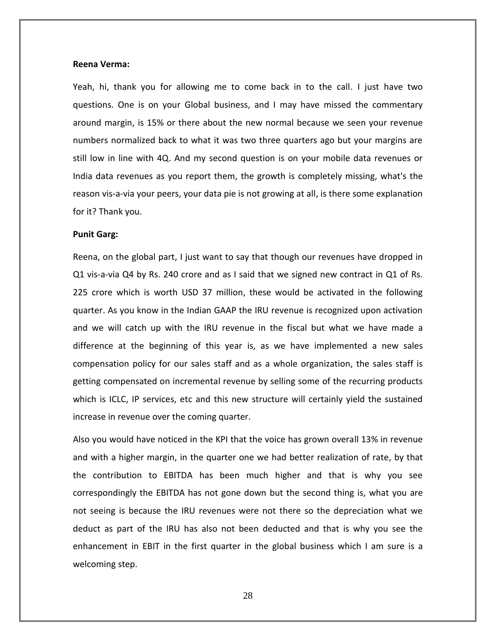#### **Reena Verma:**

Yeah, hi, thank you for allowing me to come back in to the call. I just have two questions. One is on your Global business, and I may have missed the commentary around margin, is 15% or there about the new normal because we seen your revenue numbers normalized back to what it was two three quarters ago but your margins are still low in line with 4Q. And my second question is on your mobile data revenues or India data revenues as you report them, the growth is completely missing, what's the reason vis-a-via your peers, your data pie is not growing at all, is there some explanation for it? Thank you.

#### **Punit Garg:**

Reena, on the global part, I just want to say that though our revenues have dropped in Q1 vis-a-via Q4 by Rs. 240 crore and as I said that we signed new contract in Q1 of Rs. 225 crore which is worth USD 37 million, these would be activated in the following quarter. As you know in the Indian GAAP the IRU revenue is recognized upon activation and we will catch up with the IRU revenue in the fiscal but what we have made a difference at the beginning of this year is, as we have implemented a new sales compensation policy for our sales staff and as a whole organization, the sales staff is getting compensated on incremental revenue by selling some of the recurring products which is ICLC, IP services, etc and this new structure will certainly yield the sustained increase in revenue over the coming quarter.

Also you would have noticed in the KPI that the voice has grown overall 13% in revenue and with a higher margin, in the quarter one we had better realization of rate, by that the contribution to EBITDA has been much higher and that is why you see correspondingly the EBITDA has not gone down but the second thing is, what you are not seeing is because the IRU revenues were not there so the depreciation what we deduct as part of the IRU has also not been deducted and that is why you see the enhancement in EBIT in the first quarter in the global business which I am sure is a welcoming step.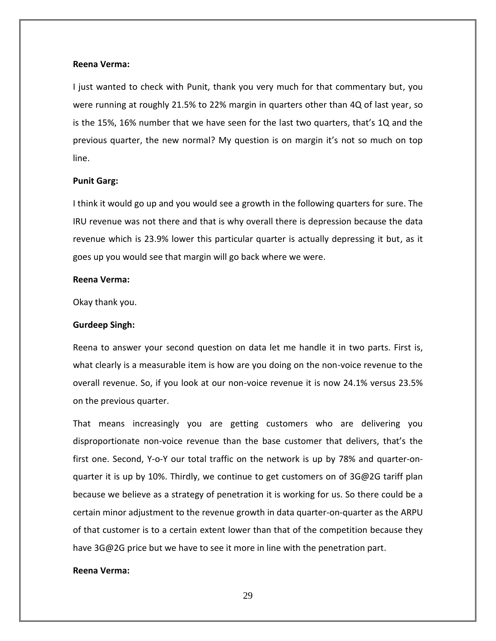#### **Reena Verma:**

I just wanted to check with Punit, thank you very much for that commentary but, you were running at roughly 21.5% to 22% margin in quarters other than 4Q of last year, so is the 15%, 16% number that we have seen for the last two quarters, that's 1Q and the previous quarter, the new normal? My question is on margin it's not so much on top line.

#### **Punit Garg:**

I think it would go up and you would see a growth in the following quarters for sure. The IRU revenue was not there and that is why overall there is depression because the data revenue which is 23.9% lower this particular quarter is actually depressing it but, as it goes up you would see that margin will go back where we were.

# **Reena Verma:**

Okay thank you.

#### **Gurdeep Singh:**

Reena to answer your second question on data let me handle it in two parts. First is, what clearly is a measurable item is how are you doing on the non-voice revenue to the overall revenue. So, if you look at our non-voice revenue it is now 24.1% versus 23.5% on the previous quarter.

That means increasingly you are getting customers who are delivering you disproportionate non-voice revenue than the base customer that delivers, that's the first one. Second, Y-o-Y our total traffic on the network is up by 78% and quarter-onquarter it is up by 10%. Thirdly, we continue to get customers on of 3G@2G tariff plan because we believe as a strategy of penetration it is working for us. So there could be a certain minor adjustment to the revenue growth in data quarter-on-quarter as the ARPU of that customer is to a certain extent lower than that of the competition because they have 3G@2G price but we have to see it more in line with the penetration part.

## **Reena Verma:**